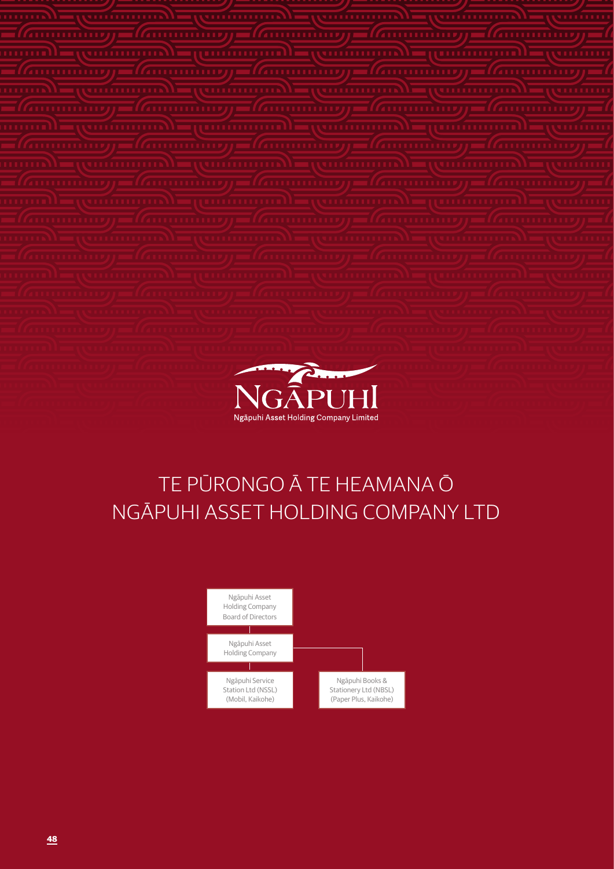

# TE PŪRONGO Ā TE HEAMANA Ō NGĀPUHI ASSET HOLDING COMPANY LTD

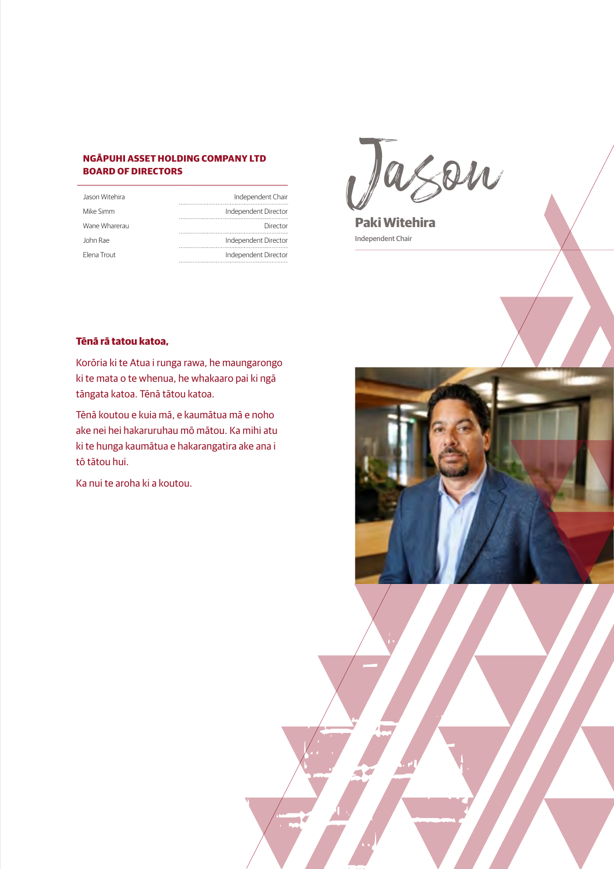# **NGĀPUHI ASSET HOLDING COMPANY LTD BOARD OF DIRECTORS**

| Jason Witehira | Independent Chair    |
|----------------|----------------------|
| Mike Simm      | Independent Director |
| Wane Wharerau  | Director             |
| John Rae       | Independent Director |
| Flena Trout    | Independent Director |

Jason

**Paki Witehira**  Independent Chair

# **Tēnā rā tatou katoa,**

Korōria ki te Atua i runga rawa, he maungarongo ki te mata o te whenua, he whakaaro pai ki ngā tāngata katoa. Tēnā tātou katoa.

Tēnā koutou e kuia mā, e kaumātua mā e noho ake nei hei hakaruruhau mō mātou. Ka mihi atu ki te hunga kaumātua e hakarangatira ake ana i tō tātou hui.

Ka nui te aroha ki a koutou.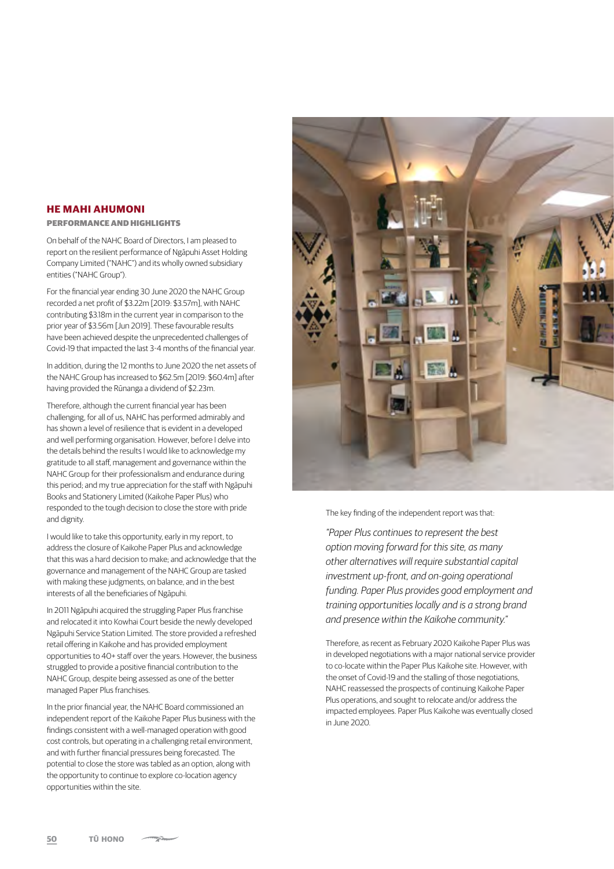### **HE MAHI AHUMONI**

#### PERFORMANCE AND HIGHLIGHTS

On behalf of the NAHC Board of Directors, I am pleased to report on the resilient performance of Ngāpuhi Asset Holding Company Limited ("NAHC") and its wholly owned subsidiary entities ("NAHC Group").

For the financial year ending 30 June 2020 the NAHC Group recorded a net profit of \$3.22m [2019: \$3.57m], with NAHC contributing \$3.18m in the current year in comparison to the prior year of \$3.56m [Jun 2019]. These favourable results have been achieved despite the unprecedented challenges of Covid-19 that impacted the last 3-4 months of the financial year.

In addition, during the 12 months to June 2020 the net assets of the NAHC Group has increased to \$62.5m [2019: \$60.4m] after having provided the Rūnanga a dividend of \$2.23m.

Therefore, although the current financial year has been challenging, for all of us, NAHC has performed admirably and has shown a level of resilience that is evident in a developed and well performing organisation. However, before I delve into the details behind the results I would like to acknowledge my gratitude to all staff, management and governance within the NAHC Group for their professionalism and endurance during this period; and my true appreciation for the staff with Ngāpuhi Books and Stationery Limited (Kaikohe Paper Plus) who responded to the tough decision to close the store with pride and dignity.

I would like to take this opportunity, early in my report, to address the closure of Kaikohe Paper Plus and acknowledge that this was a hard decision to make; and acknowledge that the governance and management of the NAHC Group are tasked with making these judgments, on balance, and in the best interests of all the beneficiaries of Ngāpuhi.

In 2011 Ngāpuhi acquired the struggling Paper Plus franchise and relocated it into Kowhai Court beside the newly developed Ngāpuhi Service Station Limited. The store provided a refreshed retail offering in Kaikohe and has provided employment opportunities to 40+ staff over the years. However, the business struggled to provide a positive financial contribution to the NAHC Group, despite being assessed as one of the better managed Paper Plus franchises.

In the prior financial year, the NAHC Board commissioned an independent report of the Kaikohe Paper Plus business with the findings consistent with a well-managed operation with good cost controls, but operating in a challenging retail environment, and with further financial pressures being forecasted. The potential to close the store was tabled as an option, along with the opportunity to continue to explore co-location agency opportunities within the site.



The key finding of the independent report was that:

*"Paper Plus continues to represent the best option moving forward for this site, as many other alternatives will require substantial capital investment up-front, and on-going operational funding. Paper Plus provides good employment and training opportunities locally and is a strong brand and presence within the Kaikohe community."* 

Therefore, as recent as February 2020 Kaikohe Paper Plus was in developed negotiations with a major national service provider to co-locate within the Paper Plus Kaikohe site. However, with the onset of Covid-19 and the stalling of those negotiations, NAHC reassessed the prospects of continuing Kaikohe Paper Plus operations, and sought to relocate and/or address the impacted employees. Paper Plus Kaikohe was eventually closed in June 2020.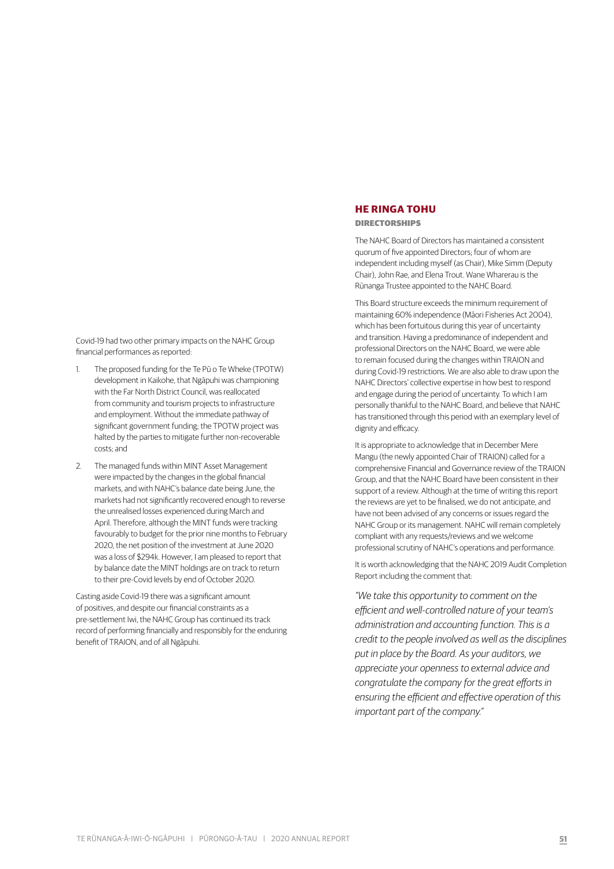Covid-19 had two other primary impacts on the NAHC Group financial performances as reported:

- 1. The proposed funding for the Te Pū o Te Wheke (TPOTW) development in Kaikohe, that Ngāpuhi was championing with the Far North District Council, was reallocated from community and tourism projects to infrastructure and employment. Without the immediate pathway of significant government funding; the TPOTW project was halted by the parties to mitigate further non-recoverable costs; and
- 2. The managed funds within MINT Asset Management were impacted by the changes in the global financial markets, and with NAHC's balance date being June, the markets had not significantly recovered enough to reverse the unrealised losses experienced during March and April. Therefore, although the MINT funds were tracking favourably to budget for the prior nine months to February 2020, the net position of the investment at June 2020 was a loss of \$294k. However, I am pleased to report that by balance date the MINT holdings are on track to return to their pre-Covid levels by end of October 2020.

Casting aside Covid-19 there was a significant amount of positives, and despite our financial constraints as a pre-settlement Iwi, the NAHC Group has continued its track record of performing financially and responsibly for the enduring benefit of TRAION, and of all Ngāpuhi.

# **HE RINGA TOHU**

#### DIRECTORSHIPS

The NAHC Board of Directors has maintained a consistent quorum of five appointed Directors; four of whom are independent including myself (as Chair), Mike Simm (Deputy Chair), John Rae, and Elena Trout. Wane Wharerau is the Rūnanga Trustee appointed to the NAHC Board.

This Board structure exceeds the minimum requirement of maintaining 60% independence (Māori Fisheries Act 2004), which has been fortuitous during this year of uncertainty and transition. Having a predominance of independent and professional Directors on the NAHC Board, we were able to remain focused during the changes within TRAION and during Covid-19 restrictions. We are also able to draw upon the NAHC Directors' collective expertise in how best to respond and engage during the period of uncertainty. To which I am personally thankful to the NAHC Board, and believe that NAHC has transitioned through this period with an exemplary level of dignity and efficacy.

It is appropriate to acknowledge that in December Mere Mangu (the newly appointed Chair of TRAION) called for a comprehensive Financial and Governance review of the TRAION Group, and that the NAHC Board have been consistent in their support of a review. Although at the time of writing this report the reviews are yet to be finalised, we do not anticipate, and have not been advised of any concerns or issues regard the NAHC Group or its management. NAHC will remain completely compliant with any requests/reviews and we welcome professional scrutiny of NAHC's operations and performance.

It is worth acknowledging that the NAHC 2019 Audit Completion Report including the comment that:

*"We take this opportunity to comment on the efficient and well-controlled nature of your team's administration and accounting function. This is a credit to the people involved as well as the disciplines put in place by the Board. As your auditors, we appreciate your openness to external advice and congratulate the company for the great efforts in ensuring the efficient and effective operation of this important part of the company."*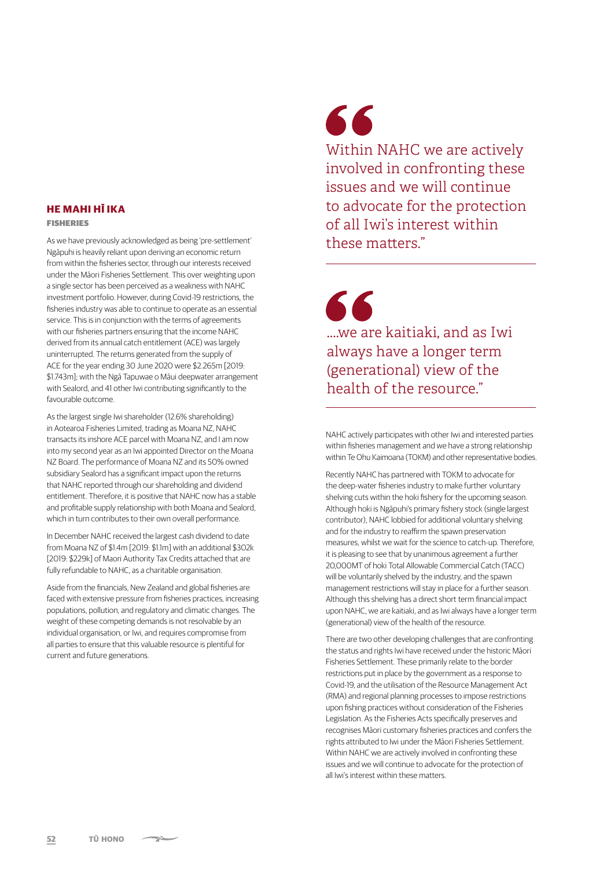## **HE MAHI HĪ IKA**

#### FISHERIES

As we have previously acknowledged as being 'pre-settlement' Ngāpuhi is heavily reliant upon deriving an economic return from within the fisheries sector, through our interests received under the Māori Fisheries Settlement. This over weighting upon a single sector has been perceived as a weakness with NAHC investment portfolio. However, during Covid-19 restrictions, the fisheries industry was able to continue to operate as an essential service. This is in conjunction with the terms of agreements with our fisheries partners ensuring that the income NAHC derived from its annual catch entitlement (ACE) was largely uninterrupted. The returns generated from the supply of ACE for the year ending 30 June 2020 were \$2.265m [2019: \$1.743m]; with the Ngā Tapuwae o Māui deepwater arrangement with Sealord, and 41 other Iwi contributing significantly to the favourable outcome.

As the largest single Iwi shareholder (12.6% shareholding) in Aotearoa Fisheries Limited, trading as Moana NZ, NAHC transacts its inshore ACE parcel with Moana NZ, and I am now into my second year as an Iwi appointed Director on the Moana NZ Board. The performance of Moana NZ and its 50% owned subsidiary Sealord has a significant impact upon the returns that NAHC reported through our shareholding and dividend entitlement. Therefore, it is positive that NAHC now has a stable and profitable supply relationship with both Moana and Sealord, which in turn contributes to their own overall performance.

In December NAHC received the largest cash dividend to date from Moana NZ of \$1.4m [2019: \$1.1m] with an additional \$302k [2019: \$229k] of Maori Authority Tax Credits attached that are fully refundable to NAHC, as a charitable organisation.

Aside from the financials, New Zealand and global fisheries are faced with extensive pressure from fisheries practices, increasing populations, pollution, and regulatory and climatic changes. The weight of these competing demands is not resolvable by an individual organisation, or Iwi, and requires compromise from all parties to ensure that this valuable resource is plentiful for current and future generations.

# 66

Within NAHC we are actively involved in confronting these issues and we will continue to advocate for the protection of all Iwi's interest within these matters."

66 ....we are kaitiaki, and as Iwi always have a longer term (generational) view of the health of the resource."

NAHC actively participates with other Iwi and interested parties within fisheries management and we have a strong relationship within Te Ohu Kaimoana (TOKM) and other representative bodies.

Recently NAHC has partnered with TOKM to advocate for the deep-water fisheries industry to make further voluntary shelving cuts within the hoki fishery for the upcoming season. Although hoki is Ngāpuhi's primary fishery stock (single largest contributor), NAHC lobbied for additional voluntary shelving and for the industry to reaffirm the spawn preservation measures, whilst we wait for the science to catch-up. Therefore, it is pleasing to see that by unanimous agreement a further 20,000MT of hoki Total Allowable Commercial Catch (TACC) will be voluntarily shelved by the industry, and the spawn management restrictions will stay in place for a further season. Although this shelving has a direct short term financial impact upon NAHC, we are kaitiaki, and as Iwi always have a longer term (generational) view of the health of the resource.

There are two other developing challenges that are confronting the status and rights Iwi have received under the historic Māori Fisheries Settlement. These primarily relate to the border restrictions put in place by the government as a response to Covid-19, and the utilisation of the Resource Management Act (RMA) and regional planning processes to impose restrictions upon fishing practices without consideration of the Fisheries Legislation. As the Fisheries Acts specifically preserves and recognises Māori customary fisheries practices and confers the rights attributed to Iwi under the Māori Fisheries Settlement. Within NAHC we are actively involved in confronting these issues and we will continue to advocate for the protection of all Iwi's interest within these matters.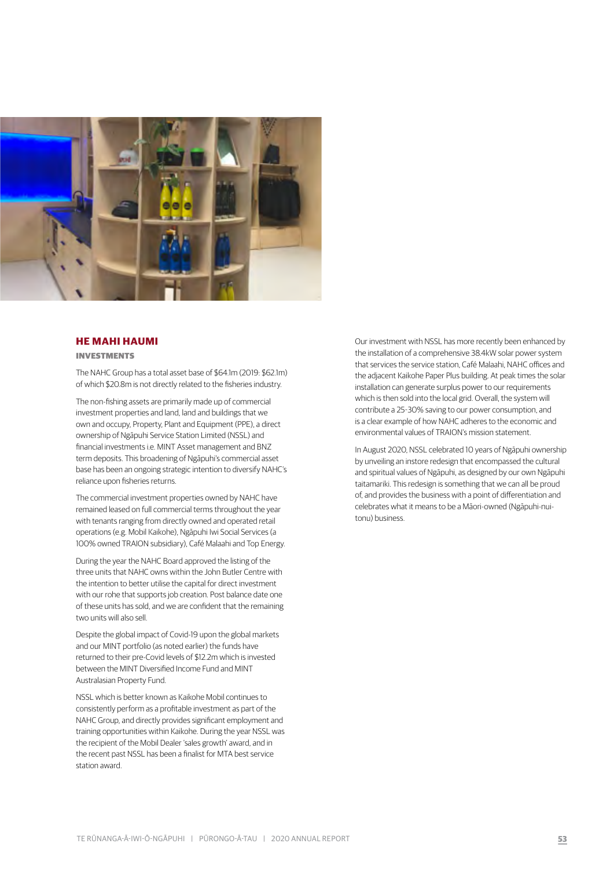

#### **HE MAHI HAUMI**

INVESTMENTS

The NAHC Group has a total asset base of \$64.1m (2019: \$62.1m) of which \$20.8m is not directly related to the fisheries industry.

The non-fishing assets are primarily made up of commercial investment properties and land, land and buildings that we own and occupy, Property, Plant and Equipment (PPE), a direct ownership of Ngāpuhi Service Station Limited (NSSL) and financial investments i.e. MINT Asset management and BNZ term deposits. This broadening of Ngāpuhi's commercial asset base has been an ongoing strategic intention to diversify NAHC's reliance upon fisheries returns.

The commercial investment properties owned by NAHC have remained leased on full commercial terms throughout the year with tenants ranging from directly owned and operated retail operations (e.g. Mobil Kaikohe), Ngāpuhi Iwi Social Services (a 100% owned TRAION subsidiary), Café Malaahi and Top Energy.

During the year the NAHC Board approved the listing of the three units that NAHC owns within the John Butler Centre with the intention to better utilise the capital for direct investment with our rohe that supports job creation. Post balance date one of these units has sold, and we are confident that the remaining two units will also sell.

Despite the global impact of Covid-19 upon the global markets and our MINT portfolio (as noted earlier) the funds have returned to their pre-Covid levels of \$12.2m which is invested between the MINT Diversified Income Fund and MINT Australasian Property Fund.

NSSL which is better known as Kaikohe Mobil continues to consistently perform as a profitable investment as part of the NAHC Group, and directly provides significant employment and training opportunities within Kaikohe. During the year NSSL was the recipient of the Mobil Dealer 'sales growth' award, and in the recent past NSSL has been a finalist for MTA best service station award.

Our investment with NSSL has more recently been enhanced by the installation of a comprehensive 38.4kW solar power system that services the service station, Café Malaahi, NAHC offices and the adjacent Kaikohe Paper Plus building. At peak times the solar installation can generate surplus power to our requirements which is then sold into the local grid. Overall, the system will contribute a 25-30% saving to our power consumption, and is a clear example of how NAHC adheres to the economic and environmental values of TRAION's mission statement.

In August 2020, NSSL celebrated 10 years of Ngāpuhi ownership by unveiling an instore redesign that encompassed the cultural and spiritual values of Ngāpuhi, as designed by our own Ngāpuhi taitamariki. This redesign is something that we can all be proud of, and provides the business with a point of differentiation and celebrates what it means to be a Māori-owned (Ngāpuhi-nuitonu) business.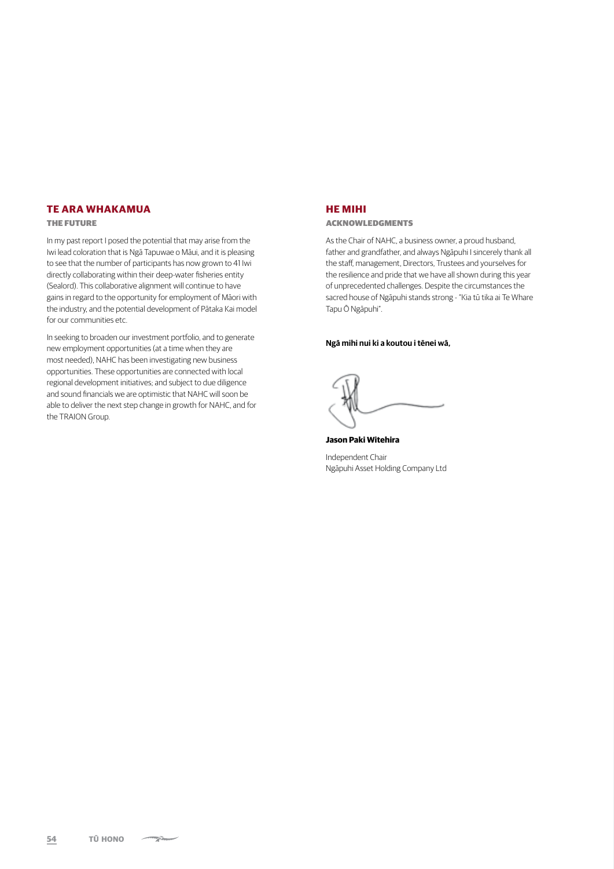# **TE ARA WHAKAMUA**

#### THE FUTURE

In my past report I posed the potential that may arise from the Iwi lead coloration that is Ngā Tapuwae o Māui, and it is pleasing to see that the number of participants has now grown to 41 Iwi directly collaborating within their deep-water fisheries entity (Sealord). This collaborative alignment will continue to have gains in regard to the opportunity for employment of Māori with the industry, and the potential development of Pātaka Kai model for our communities etc.

In seeking to broaden our investment portfolio, and to generate new employment opportunities (at a time when they are most needed), NAHC has been investigating new business opportunities. These opportunities are connected with local regional development initiatives; and subject to due diligence and sound financials we are optimistic that NAHC will soon be able to deliver the next step change in growth for NAHC, and for the TRAION Group.

#### **HE MIHI**

#### ACKNOWLEDGMENTS

As the Chair of NAHC, a business owner, a proud husband, father and grandfather, and always Ngāpuhi I sincerely thank all the staff, management, Directors, Trustees and yourselves for the resilience and pride that we have all shown during this year of unprecedented challenges. Despite the circumstances the sacred house of Ngāpuhi stands strong - "Kia tū tika ai Te Whare Tapu Ō Ngāpuhi".

#### **Ngā mihi nui ki a koutou i tēnei wā,**

**Jason Paki Witehira**  Independent Chair Ngāpuhi Asset Holding Company Ltd